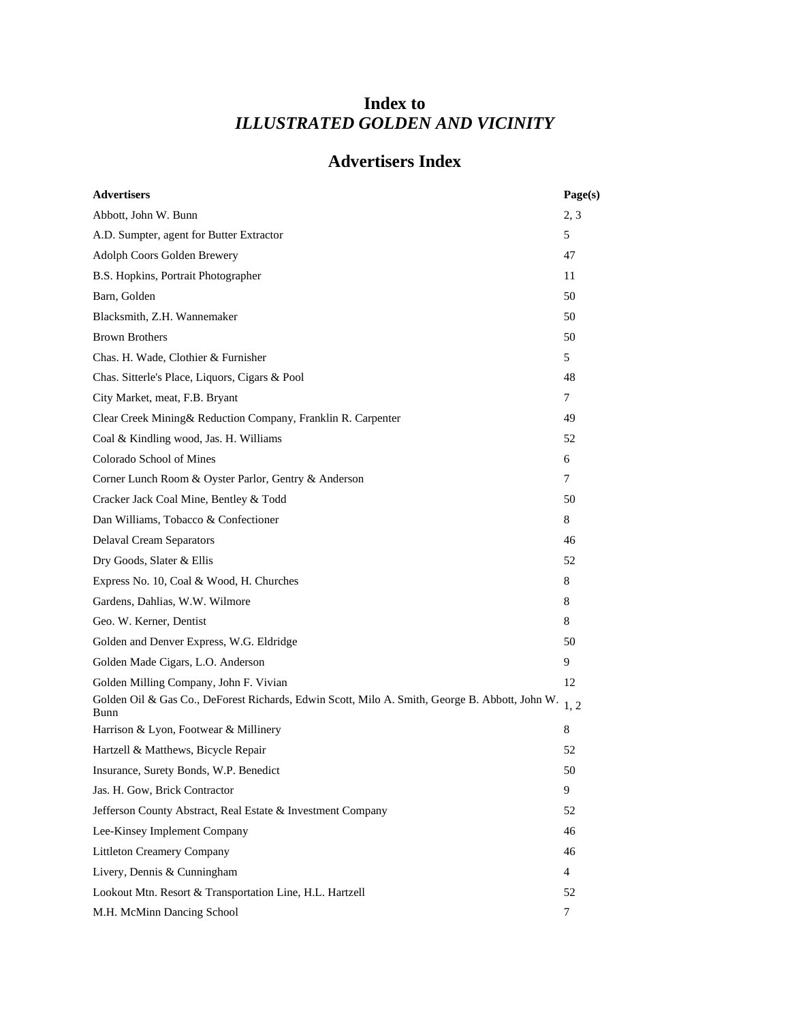## **Index to** *ILLUSTRATED GOLDEN AND VICINITY*

## **Advertisers Index**

| <b>Advertisers</b>                                                                                     | Page(s)        |
|--------------------------------------------------------------------------------------------------------|----------------|
| Abbott, John W. Bunn                                                                                   | 2, 3           |
| A.D. Sumpter, agent for Butter Extractor                                                               | 5              |
| Adolph Coors Golden Brewery                                                                            | 47             |
| B.S. Hopkins, Portrait Photographer                                                                    | 11             |
| Barn, Golden                                                                                           | 50             |
| Blacksmith, Z.H. Wannemaker                                                                            | 50             |
| <b>Brown Brothers</b>                                                                                  | 50             |
| Chas. H. Wade, Clothier & Furnisher                                                                    | 5              |
| Chas. Sitterle's Place, Liquors, Cigars & Pool                                                         | 48             |
| City Market, meat, F.B. Bryant                                                                         | 7              |
| Clear Creek Mining& Reduction Company, Franklin R. Carpenter                                           | 49             |
| Coal & Kindling wood, Jas. H. Williams                                                                 | 52             |
| Colorado School of Mines                                                                               | 6              |
| Corner Lunch Room & Oyster Parlor, Gentry & Anderson                                                   | 7              |
| Cracker Jack Coal Mine, Bentley & Todd                                                                 | 50             |
| Dan Williams, Tobacco & Confectioner                                                                   | 8              |
| <b>Delaval Cream Separators</b>                                                                        | 46             |
| Dry Goods, Slater & Ellis                                                                              | 52             |
| Express No. 10, Coal & Wood, H. Churches                                                               | 8              |
| Gardens, Dahlias, W.W. Wilmore                                                                         | 8              |
| Geo. W. Kerner, Dentist                                                                                | 8              |
| Golden and Denver Express, W.G. Eldridge                                                               | 50             |
| Golden Made Cigars, L.O. Anderson                                                                      | 9              |
| Golden Milling Company, John F. Vivian                                                                 | 12             |
| Golden Oil & Gas Co., DeForest Richards, Edwin Scott, Milo A. Smith, George B. Abbott, John W.<br>Bunn | 1, 2           |
| Harrison & Lyon, Footwear & Millinery                                                                  | 8              |
| Hartzell & Matthews, Bicycle Repair                                                                    | 52             |
| Insurance, Surety Bonds, W.P. Benedict                                                                 | 50             |
| Jas. H. Gow, Brick Contractor                                                                          | 9              |
| Jefferson County Abstract, Real Estate & Investment Company                                            | 52             |
| Lee-Kinsey Implement Company                                                                           | 46             |
| <b>Littleton Creamery Company</b>                                                                      | 46             |
| Livery, Dennis & Cunningham                                                                            | $\overline{4}$ |
| Lookout Mtn. Resort & Transportation Line, H.L. Hartzell                                               | 52             |
| M.H. McMinn Dancing School                                                                             | 7              |